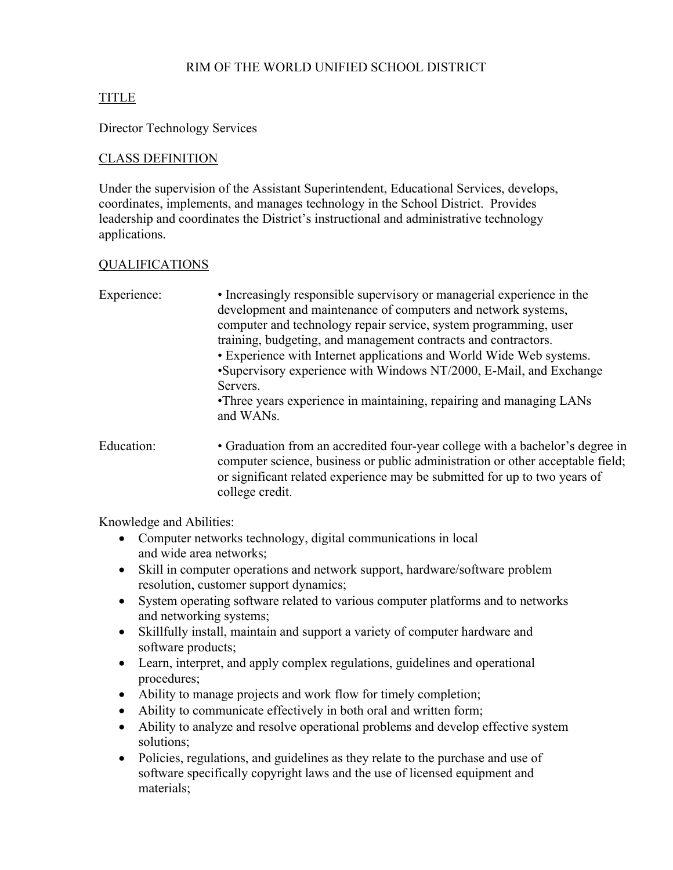## RIM OF THE WORLD UNIFIED SCHOOL DISTRICT

# TITLE

Director Technology Services

## CLASS DEFINITION

Under the supervision of the Assistant Superintendent, Educational Services, develops, coordinates, implements, and manages technology in the School District. Provides leadership and coordinates the District's instructional and administrative technology applications.

## QUALIFICATIONS

| Experience: | • Increasingly responsible supervisory or managerial experience in the<br>development and maintenance of computers and network systems,<br>computer and technology repair service, system programming, user<br>training, budgeting, and management contracts and contractors.<br>• Experience with Internet applications and World Wide Web systems.<br>•Supervisory experience with Windows NT/2000, E-Mail, and Exchange<br>Servers.<br>•Three years experience in maintaining, repairing and managing LANs<br>and WANs. |
|-------------|----------------------------------------------------------------------------------------------------------------------------------------------------------------------------------------------------------------------------------------------------------------------------------------------------------------------------------------------------------------------------------------------------------------------------------------------------------------------------------------------------------------------------|
| Education:  | • Graduation from an accredited four-year college with a bachelor's degree in<br>computer science, business or public administration or other acceptable field;<br>or significant related experience may be submitted for up to two years of<br>college credit.                                                                                                                                                                                                                                                            |

Knowledge and Abilities:

- Computer networks technology, digital communications in local and wide area networks;
- Skill in computer operations and network support, hardware/software problem resolution, customer support dynamics;
- System operating software related to various computer platforms and to networks and networking systems;
- Skillfully install, maintain and support a variety of computer hardware and software products;
- Learn, interpret, and apply complex regulations, guidelines and operational procedures;
- Ability to manage projects and work flow for timely completion;
- Ability to communicate effectively in both oral and written form;
- Ability to analyze and resolve operational problems and develop effective system solutions;
- Policies, regulations, and guidelines as they relate to the purchase and use of software specifically copyright laws and the use of licensed equipment and materials;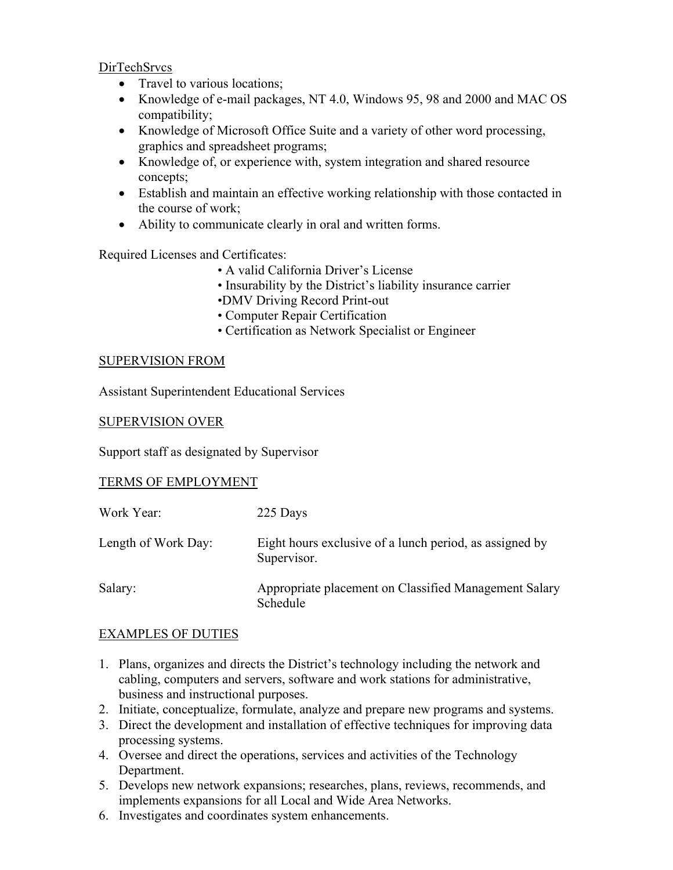DirTechSrvcs

- Travel to various locations;
- Knowledge of e-mail packages, NT 4.0, Windows 95, 98 and 2000 and MAC OS compatibility;
- Knowledge of Microsoft Office Suite and a variety of other word processing, graphics and spreadsheet programs;
- Knowledge of, or experience with, system integration and shared resource concepts;
- Establish and maintain an effective working relationship with those contacted in the course of work;
- Ability to communicate clearly in oral and written forms.

Required Licenses and Certificates:

- A valid California Driver's License
- Insurability by the District's liability insurance carrier
- •DMV Driving Record Print-out
- Computer Repair Certification
- Certification as Network Specialist or Engineer

### SUPERVISION FROM

Assistant Superintendent Educational Services

#### SUPERVISION OVER

Support staff as designated by Supervisor

### TERMS OF EMPLOYMENT

| Work Year:          | 225 Days                                                               |
|---------------------|------------------------------------------------------------------------|
| Length of Work Day: | Eight hours exclusive of a lunch period, as assigned by<br>Supervisor. |
| Salary:             | Appropriate placement on Classified Management Salary<br>Schedule      |

### EXAMPLES OF DUTIES

- 1. Plans, organizes and directs the District's technology including the network and cabling, computers and servers, software and work stations for administrative, business and instructional purposes.
- 2. Initiate, conceptualize, formulate, analyze and prepare new programs and systems.
- 3. Direct the development and installation of effective techniques for improving data processing systems.
- 4. Oversee and direct the operations, services and activities of the Technology Department.
- 5. Develops new network expansions; researches, plans, reviews, recommends, and implements expansions for all Local and Wide Area Networks.
- 6. Investigates and coordinates system enhancements.